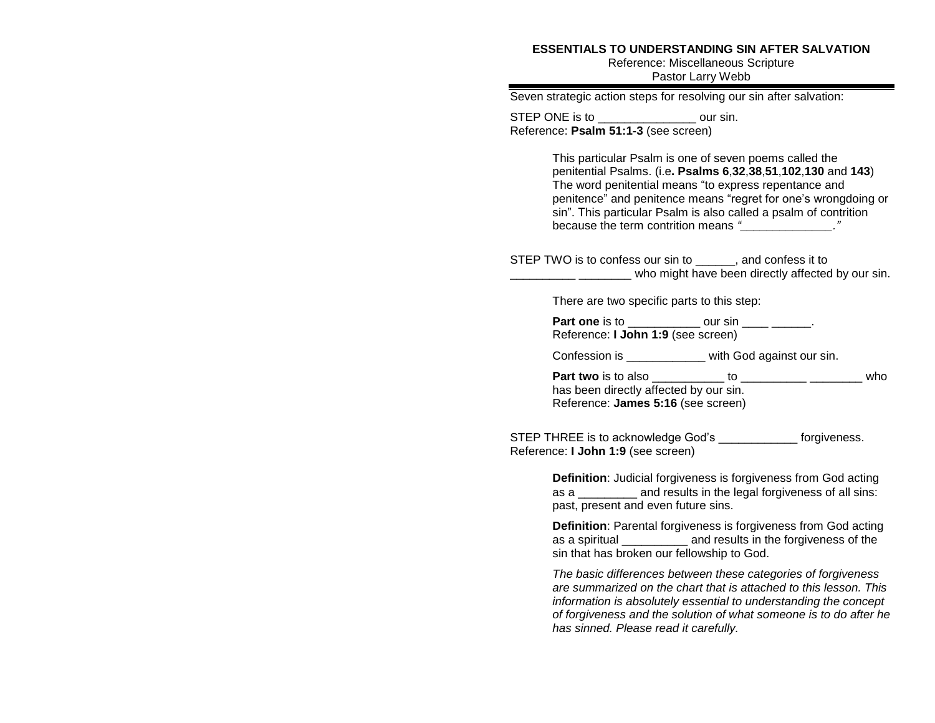## **ESSENTIALS TO UNDERSTANDING SIN AFTER SALVATION**

Reference: Miscellaneous Scripture Pastor Larry Webb

| Seven strategic action steps for resolving our sin after salvation:                                                                                                                                                                                                                                                                                          |
|--------------------------------------------------------------------------------------------------------------------------------------------------------------------------------------------------------------------------------------------------------------------------------------------------------------------------------------------------------------|
| STEP ONE is to __________________ our sin.<br>Reference: Psalm 51:1-3 (see screen)                                                                                                                                                                                                                                                                           |
| This particular Psalm is one of seven poems called the<br>penitential Psalms. (i.e. Psalms 6,32,38,51,102,130 and 143)<br>The word penitential means "to express repentance and<br>penitence" and penitence means "regret for one's wrongdoing or<br>sin". This particular Psalm is also called a psalm of contrition<br>because the term contrition means " |
| STEP TWO is to confess our sin to ______, and confess it to<br>_______________________ who might have been directly affected by our sin.                                                                                                                                                                                                                     |
| There are two specific parts to this step:                                                                                                                                                                                                                                                                                                                   |
| Part one is to _____________ our sin ____ _____.<br>Reference: I John 1:9 (see screen)                                                                                                                                                                                                                                                                       |
| Confession is ____________ with God against our sin.                                                                                                                                                                                                                                                                                                         |
| has been directly affected by our sin.<br>Reference: James 5:16 (see screen)                                                                                                                                                                                                                                                                                 |
| STEP THREE is to acknowledge God's _______________ forgiveness.<br>Reference: I John 1:9 (see screen)                                                                                                                                                                                                                                                        |
| Definition: Judicial forgiveness is forgiveness from God acting<br>as a ___________ and results in the legal forgiveness of all sins:<br>past, present and even future sins.                                                                                                                                                                                 |
| <b>Definition:</b> Parental forgiveness is forgiveness from God acting<br>as a spiritual __________ and results in the forgiveness of the<br>sin that has broken our fellowship to God.                                                                                                                                                                      |

*The basic differences between these categories of forgiveness are summarized on the chart that is attached to this lesson. This information is absolutely essential to understanding the concept of forgiveness and the solution of what someone is to do after he has sinned. Please read it carefully.*